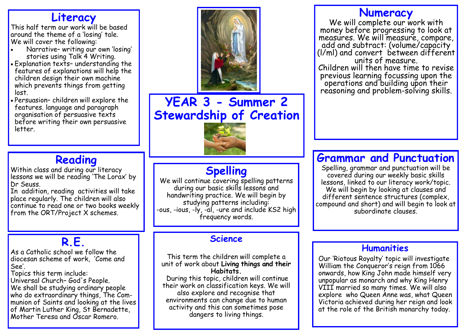### **Literacy**

This half term our work will be based around the theme of a 'losing' tale. We will cover the following:

- Narrative– writing our own 'losing' stories using Talk 4 Writing.
- Explanation texts– understanding the features of explanations will help the children design their own machine which prevents things from getting lost.
- Persuasion– children will explore the features. language and paragraph organisation of persuasive texts before writing their own persuasive letter.



**YEAR 3 - Summer 2 Stewardship of Creation**



# **Spelling**

We will continue covering spelling patterns during our basic skills lessons and handwriting practice. We will begin by studying patterns including: -ous, -ious, -ly, -al, -ure and include KS2 high frequency words.

#### **Science**

#### This term the children will complete a unit of work about **Living things and their Habitats.**

During this topic, children will continue their work on classification keys. We will also explore and recognise that environments can change due to human activity and this can sometimes pose dangers to living things.

#### **Numeracy**

We will complete our work with money before progressing to look at measures. We will measure, compare, add and subtract: (volume/capacity (l/ml) and convert between different units of measure. Children will then have time to revise previous learning focussing upon the operations and building upon their reasoning and problem-solving skills.

# **Grammar and Punctuation**

Spelling, grammar and punctuation will be covered during our weekly basic skills lessons, linked to our literacy work/topic. We will begin by looking at clauses and different sentence structures (complex, compound and short) and will begin to look at subordinate clauses.

# **R.E.**<br>and we follow the **Report Contains the Science** of the **Humanities**

Our 'Riotous Royalty' topic will investigate William the Conqueror's reign from 1066 onwards, how King John made himself very unpopular as monarch and why King Henry VIII married so many times. We will also explore who Queen Anne was, what Queen Victoria achieved during her reign and look at the role of the British monarchy today.

# **Reading**

Within class and during our literacy lessons we will be reading 'The Lorax' by Dr Seuss.

In addition, reading activities will take place regularly. The children will also continue to read one or two books weekly from the ORT/Project X schemes.

As a Catholic school we follow the diocesan scheme of work, 'Come and See'.

Topics this term include: Universal Church– God's People. We shall be studying ordinary people who do extraordinary things, The Communion of Saints and looking at the lives of Martin Luther King, St Bernadette, Mother Teresa and Oscar Romero.